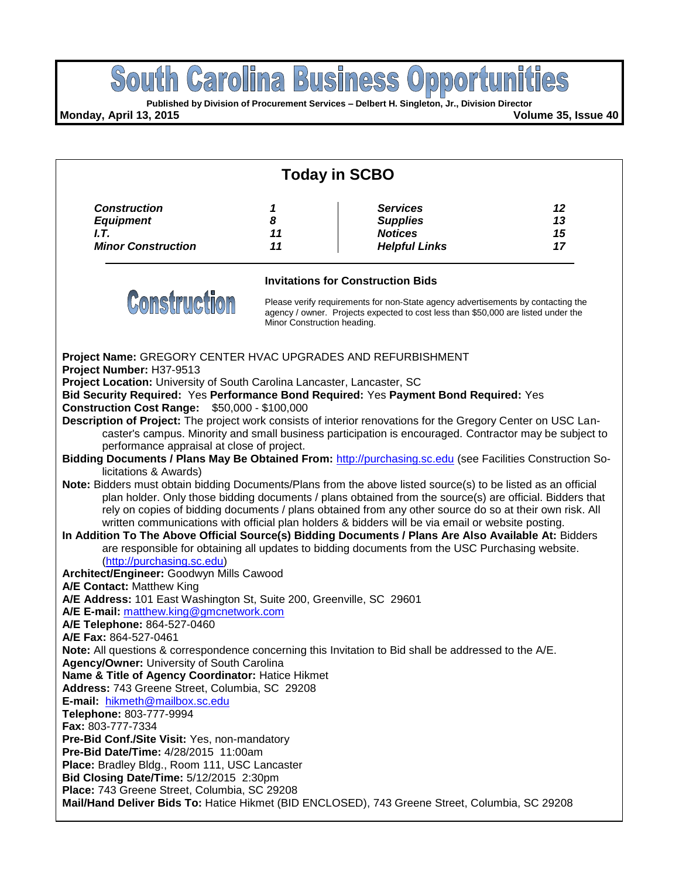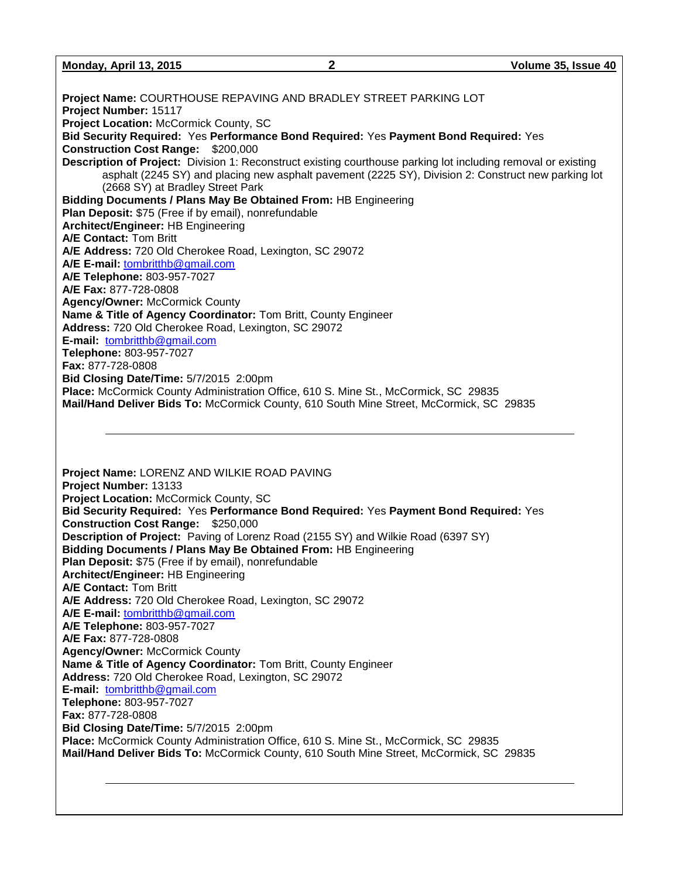**Monday, April 13, 2015 2 Volume 35, Issue 40**

**Project Name:** COURTHOUSE REPAVING AND BRADLEY STREET PARKING LOT **Project Number:** 15117 **Project Location: McCormick County, SC Bid Security Required:** Yes **Performance Bond Required:** Yes **Payment Bond Required:** Yes **Construction Cost Range:** \$200,000 **Description of Project:** Division 1: Reconstruct existing courthouse parking lot including removal or existing asphalt (2245 SY) and placing new asphalt pavement (2225 SY), Division 2: Construct new parking lot (2668 SY) at Bradley Street Park **Bidding Documents / Plans May Be Obtained From:** HB Engineering **Plan Deposit:** \$75 (Free if by email), nonrefundable **Architect/Engineer:** HB Engineering **A/E Contact:** Tom Britt **A/E Address:** 720 Old Cherokee Road, Lexington, SC 29072 **A/E E-mail:** [tombritthb@gmail.com](mailto:tombritthb@gmail.com) **A/E Telephone:** 803-957-7027 **A/E Fax:** 877-728-0808 **Agency/Owner:** McCormick County **Name & Title of Agency Coordinator:** Tom Britt, County Engineer **Address:** 720 Old Cherokee Road, Lexington, SC 29072 **E-mail:** [tombritthb@gmail.com](mailto:tombritthb@gmail.com) **Telephone:** 803-957-7027 **Fax:** 877-728-0808 **Bid Closing Date/Time:** 5/7/2015 2:00pm **Place:** McCormick County Administration Office, 610 S. Mine St., McCormick, SC 29835 **Mail/Hand Deliver Bids To:** McCormick County, 610 South Mine Street, McCormick, SC 29835

**Project Name:** LORENZ AND WILKIE ROAD PAVING **Project Number:** 13133 **Project Location:** McCormick County, SC **Bid Security Required:** Yes **Performance Bond Required:** Yes **Payment Bond Required:** Yes **Construction Cost Range:** \$250,000 **Description of Project:** Paving of Lorenz Road (2155 SY) and Wilkie Road (6397 SY) **Bidding Documents / Plans May Be Obtained From:** HB Engineering **Plan Deposit:** \$75 (Free if by email), nonrefundable **Architect/Engineer:** HB Engineering **A/E Contact:** Tom Britt **A/E Address:** 720 Old Cherokee Road, Lexington, SC 29072 **A/E E-mail:** [tombritthb@gmail.com](mailto:tombritthb@gmail.com) **A/E Telephone:** 803-957-7027 **A/E Fax:** 877-728-0808 **Agency/Owner:** McCormick County **Name & Title of Agency Coordinator:** Tom Britt, County Engineer **Address:** 720 Old Cherokee Road, Lexington, SC 29072 **E-mail:** [tombritthb@gmail.com](mailto:tombritthb@gmail.com) **Telephone:** 803-957-7027 **Fax:** 877-728-0808 **Bid Closing Date/Time:** 5/7/2015 2:00pm **Place:** McCormick County Administration Office, 610 S. Mine St., McCormick, SC 29835 **Mail/Hand Deliver Bids To:** McCormick County, 610 South Mine Street, McCormick, SC 29835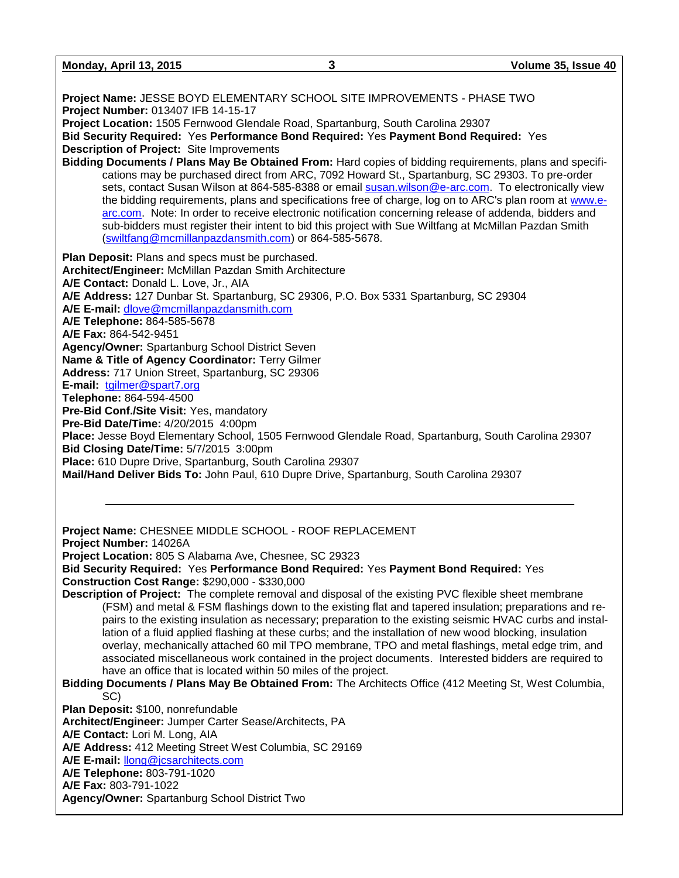**Monday, April 13, 2015 3 Volume 35, Issue 40 Project Name:** JESSE BOYD ELEMENTARY SCHOOL SITE IMPROVEMENTS - PHASE TWO **Project Number:** 013407 IFB 14-15-17 **Project Location:** 1505 Fernwood Glendale Road, Spartanburg, South Carolina 29307 **Bid Security Required:** Yes **Performance Bond Required:** Yes **Payment Bond Required:** Yes **Description of Project:** Site Improvements **Bidding Documents / Plans May Be Obtained From:** Hard copies of bidding requirements, plans and specifications may be purchased direct from ARC, 7092 Howard St., Spartanburg, SC 29303. To pre-order sets, contact Susan Wilson at 864-585-8388 or email [susan.wilson@e-arc.com.](mailto:susan.wilson@e-arc.com) To electronically view the bidding requirements, plans and specifications free of charge, log on to ARC's plan room at [www.e](http://www.e-arc.com/)[arc.com.](http://www.e-arc.com/) Note: In order to receive electronic notification concerning release of addenda, bidders and sub-bidders must register their intent to bid this project with Sue Wiltfang at McMillan Pazdan Smith [\(swiltfang@mcmillanpazdansmith.com\)](mailto:swiltfang@mcmillanpazdansmith.com) or 864-585-5678. **Plan Deposit:** Plans and specs must be purchased. **Architect/Engineer:** McMillan Pazdan Smith Architecture **A/E Contact:** Donald L. Love, Jr., AIA **A/E Address:** 127 Dunbar St. Spartanburg, SC 29306, P.O. Box 5331 Spartanburg, SC 29304 **A/E E-mail:** [dlove@mcmillanpazdansmith.com](mailto:dlove@mcmillanpazdansmith.com) **A/E Telephone:** 864-585-5678 **A/E Fax:** 864-542-9451 **Agency/Owner:** Spartanburg School District Seven **Name & Title of Agency Coordinator:** Terry Gilmer **Address:** 717 Union Street, Spartanburg, SC 29306 **E-mail:** [tgilmer@spart7.org](mailto:tgilmer@spart7.org) **Telephone:** 864-594-4500 **Pre-Bid Conf./Site Visit:** Yes, mandatory **Pre-Bid Date/Time:** 4/20/2015 4:00pm **Place:** Jesse Boyd Elementary School, 1505 Fernwood Glendale Road, Spartanburg, South Carolina 29307 **Bid Closing Date/Time:** 5/7/2015 3:00pm **Place:** 610 Dupre Drive, Spartanburg, South Carolina 29307 **Mail/Hand Deliver Bids To:** John Paul, 610 Dupre Drive, Spartanburg, South Carolina 29307 **Project Name:** CHESNEE MIDDLE SCHOOL - ROOF REPLACEMENT **Project Number:** 14026A **Project Location:** 805 S Alabama Ave, Chesnee, SC 29323 **Bid Security Required:** Yes **Performance Bond Required:** Yes **Payment Bond Required:** Yes **Construction Cost Range:** \$290,000 - \$330,000 **Description of Project:** The complete removal and disposal of the existing PVC flexible sheet membrane (FSM) and metal & FSM flashings down to the existing flat and tapered insulation; preparations and repairs to the existing insulation as necessary; preparation to the existing seismic HVAC curbs and installation of a fluid applied flashing at these curbs; and the installation of new wood blocking, insulation overlay, mechanically attached 60 mil TPO membrane, TPO and metal flashings, metal edge trim, and associated miscellaneous work contained in the project documents. Interested bidders are required to have an office that is located within 50 miles of the project. **Bidding Documents / Plans May Be Obtained From:** The Architects Office (412 Meeting St, West Columbia, SC) **Plan Deposit:** \$100, nonrefundable **Architect/Engineer:** Jumper Carter Sease/Architects, PA **A/E Contact:** Lori M. Long, AIA **A/E Address:** 412 Meeting Street West Columbia, SC 29169 **A/E E-mail:** [llong@jcsarchitects.com](mailto:llong@jcsarchitects.com) **A/E Telephone:** 803-791-1020 **A/E Fax:** 803-791-1022 **Agency/Owner:** Spartanburg School District Two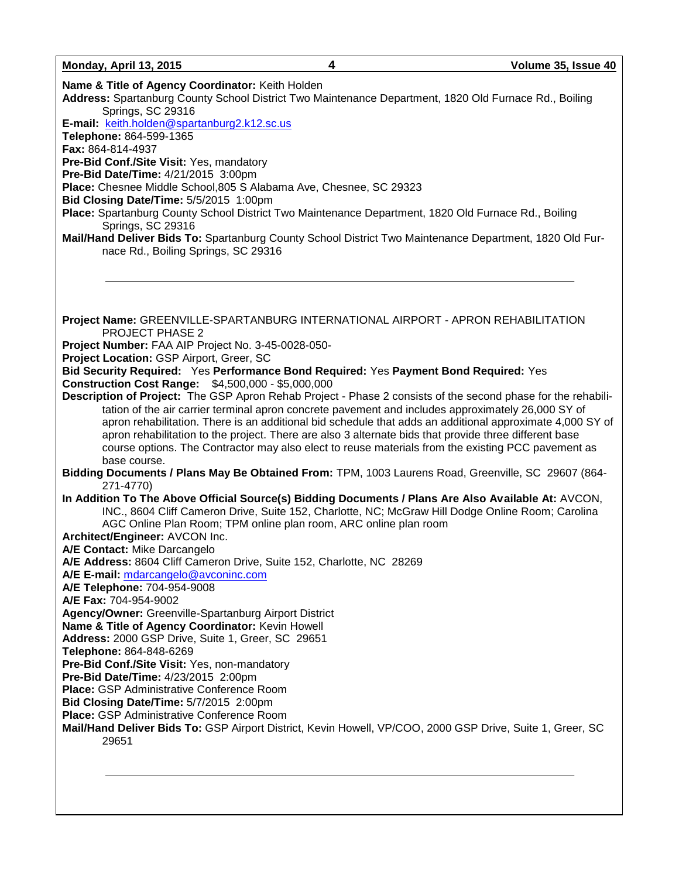**Name & Title of Agency Coordinator:** Keith Holden **Address:** Spartanburg County School District Two Maintenance Department, 1820 Old Furnace Rd., Boiling Springs, SC 29316 **E-mail:** [keith.holden@spartanburg2.k12.sc.us](mailto:keith.holden@spartanburg2.k12.sc.us) **Telephone:** 864-599-1365 **Fax:** 864-814-4937 **Pre-Bid Conf./Site Visit:** Yes, mandatory **Pre-Bid Date/Time:** 4/21/2015 3:00pm **Place:** Chesnee Middle School,805 S Alabama Ave, Chesnee, SC 29323 **Bid Closing Date/Time:** 5/5/2015 1:00pm **Place:** Spartanburg County School District Two Maintenance Department, 1820 Old Furnace Rd., Boiling Springs, SC 29316 **Mail/Hand Deliver Bids To:** Spartanburg County School District Two Maintenance Department, 1820 Old Furnace Rd., Boiling Springs, SC 29316 **Project Name:** GREENVILLE-SPARTANBURG INTERNATIONAL AIRPORT - APRON REHABILITATION PROJECT PHASE 2 **Project Number:** FAA AIP Project No. 3-45-0028-050- **Project Location:** GSP Airport, Greer, SC **Bid Security Required:** Yes **Performance Bond Required:** Yes **Payment Bond Required:** Yes **Construction Cost Range:** \$4,500,000 - \$5,000,000 **Description of Project:** The GSP Apron Rehab Project - Phase 2 consists of the second phase for the rehabilitation of the air carrier terminal apron concrete pavement and includes approximately 26,000 SY of apron rehabilitation. There is an additional bid schedule that adds an additional approximate 4,000 SY of apron rehabilitation to the project. There are also 3 alternate bids that provide three different base course options. The Contractor may also elect to reuse materials from the existing PCC pavement as base course. **Bidding Documents / Plans May Be Obtained From:** TPM, 1003 Laurens Road, Greenville, SC 29607 (864- 271-4770) **In Addition To The Above Official Source(s) Bidding Documents / Plans Are Also Available At:** AVCON, INC., 8604 Cliff Cameron Drive, Suite 152, Charlotte, NC; McGraw Hill Dodge Online Room; Carolina AGC Online Plan Room; TPM online plan room, ARC online plan room **Architect/Engineer:** AVCON Inc. **A/E Contact:** Mike Darcangelo **A/E Address:** 8604 Cliff Cameron Drive, Suite 152, Charlotte, NC 28269 **A/E E-mail:** [mdarcangelo@avconinc.com](mailto:mdarcangelo@avconinc.com) **A/E Telephone:** 704-954-9008 **A/E Fax:** 704-954-9002 **Agency/Owner:** Greenville-Spartanburg Airport District **Name & Title of Agency Coordinator:** Kevin Howell **Address:** 2000 GSP Drive, Suite 1, Greer, SC 29651 **Telephone:** 864-848-6269 **Pre-Bid Conf./Site Visit:** Yes, non-mandatory **Pre-Bid Date/Time:** 4/23/2015 2:00pm **Place:** GSP Administrative Conference Room **Bid Closing Date/Time:** 5/7/2015 2:00pm **Place:** GSP Administrative Conference Room **Mail/Hand Deliver Bids To:** GSP Airport District, Kevin Howell, VP/COO, 2000 GSP Drive, Suite 1, Greer, SC 29651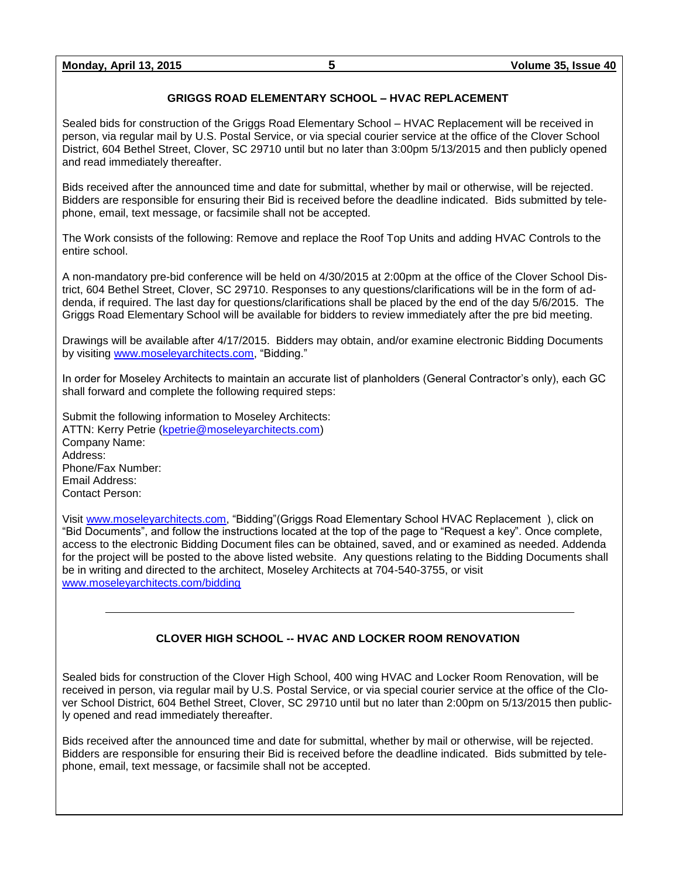# **GRIGGS ROAD ELEMENTARY SCHOOL – HVAC REPLACEMENT**

Sealed bids for construction of the Griggs Road Elementary School – HVAC Replacement will be received in person, via regular mail by U.S. Postal Service, or via special courier service at the office of the Clover School District, 604 Bethel Street, Clover, SC 29710 until but no later than 3:00pm 5/13/2015 and then publicly opened and read immediately thereafter.

Bids received after the announced time and date for submittal, whether by mail or otherwise, will be rejected. Bidders are responsible for ensuring their Bid is received before the deadline indicated. Bids submitted by telephone, email, text message, or facsimile shall not be accepted.

The Work consists of the following: Remove and replace the Roof Top Units and adding HVAC Controls to the entire school.

A non-mandatory pre-bid conference will be held on 4/30/2015 at 2:00pm at the office of the Clover School District, 604 Bethel Street, Clover, SC 29710. Responses to any questions/clarifications will be in the form of addenda, if required. The last day for questions/clarifications shall be placed by the end of the day 5/6/2015. The Griggs Road Elementary School will be available for bidders to review immediately after the pre bid meeting.

Drawings will be available after 4/17/2015. Bidders may obtain, and/or examine electronic Bidding Documents by visiting [www.moseleyarchitects.com,](http://www.moseleyarchitects.com/) "Bidding."

In order for Moseley Architects to maintain an accurate list of planholders (General Contractor's only), each GC shall forward and complete the following required steps:

Submit the following information to Moseley Architects: ATTN: Kerry Petrie [\(kpetrie@moseleyarchitects.com\)](../../546128/BID/kpetrie@moseleyarchitects.com) Company Name: Address: Phone/Fax Number: Email Address: Contact Person:

Visit [www.moseleyarchitects.com,](http://www.moseleyarchitects.com/) "Bidding"(Griggs Road Elementary School HVAC Replacement ), click on "Bid Documents", and follow the instructions located at the top of the page to "Request a key". Once complete, access to the electronic Bidding Document files can be obtained, saved, and or examined as needed. Addenda for the project will be posted to the above listed website. Any questions relating to the Bidding Documents shall be in writing and directed to the architect, Moseley Architects at 704-540-3755, or visit [www.moseleyarchitects.com/bidding](http://www.moseleyarchitects.com/bidding)

#### **CLOVER HIGH SCHOOL -- HVAC AND LOCKER ROOM RENOVATION**

Sealed bids for construction of the Clover High School, 400 wing HVAC and Locker Room Renovation, will be received in person, via regular mail by U.S. Postal Service, or via special courier service at the office of the Clover School District, 604 Bethel Street, Clover, SC 29710 until but no later than 2:00pm on 5/13/2015 then publicly opened and read immediately thereafter.

Bids received after the announced time and date for submittal, whether by mail or otherwise, will be rejected. Bidders are responsible for ensuring their Bid is received before the deadline indicated. Bids submitted by telephone, email, text message, or facsimile shall not be accepted.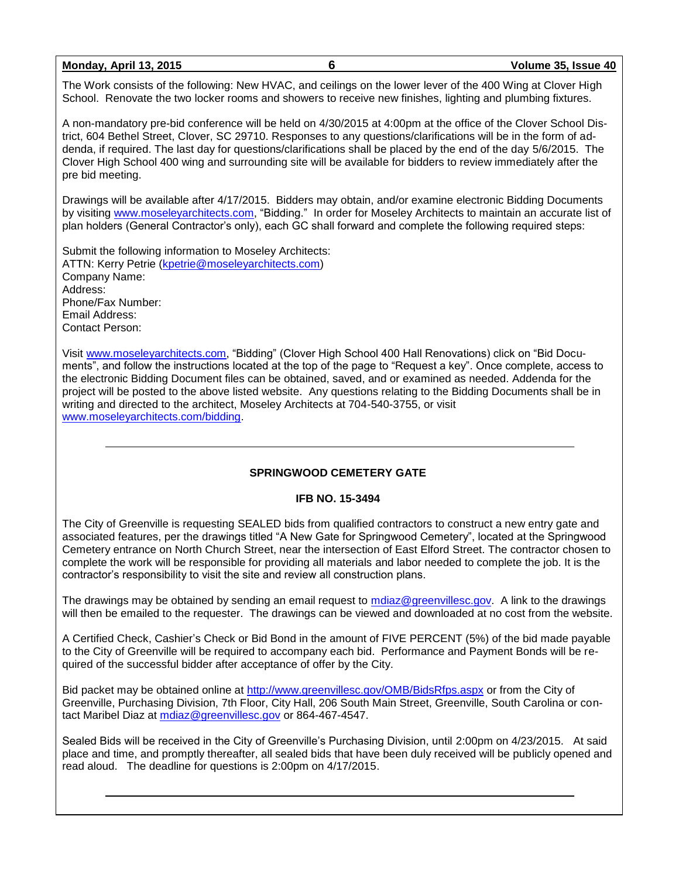**Monday, April 13, 2015 6 Volume 35, Issue 40**

The Work consists of the following: New HVAC, and ceilings on the lower lever of the 400 Wing at Clover High School. Renovate the two locker rooms and showers to receive new finishes, lighting and plumbing fixtures.

A non-mandatory pre-bid conference will be held on 4/30/2015 at 4:00pm at the office of the Clover School District, 604 Bethel Street, Clover, SC 29710. Responses to any questions/clarifications will be in the form of addenda, if required. The last day for questions/clarifications shall be placed by the end of the day 5/6/2015. The Clover High School 400 wing and surrounding site will be available for bidders to review immediately after the pre bid meeting.

Drawings will be available after 4/17/2015. Bidders may obtain, and/or examine electronic Bidding Documents by visiting [www.moseleyarchitects.com,](http://www.moseleyarchitects.com/) "Bidding." In order for Moseley Architects to maintain an accurate list of plan holders (General Contractor's only), each GC shall forward and complete the following required steps:

Submit the following information to Moseley Architects: ATTN: Kerry Petrie [\(kpetrie@moseleyarchitects.com\)](../../546128/BID/kpetrie@moseleyarchitects.com) Company Name: Address: Phone/Fax Number: Email Address: Contact Person:

Visit [www.moseleyarchitects.com,](http://www.moseleyarchitects.com/) "Bidding" (Clover High School 400 Hall Renovations) click on "Bid Documents", and follow the instructions located at the top of the page to "Request a key". Once complete, access to the electronic Bidding Document files can be obtained, saved, and or examined as needed. Addenda for the project will be posted to the above listed website. Any questions relating to the Bidding Documents shall be in writing and directed to the architect, Moseley Architects at 704-540-3755, or visit [www.moseleyarchitects.com/bidding.](http://www.moseleyarchitects.com/bidding)

# **SPRINGWOOD CEMETERY GATE**

#### **IFB NO. 15-3494**

The City of Greenville is requesting SEALED bids from qualified contractors to construct a new entry gate and associated features, per the drawings titled "A New Gate for Springwood Cemetery", located at the Springwood Cemetery entrance on North Church Street, near the intersection of East Elford Street. The contractor chosen to complete the work will be responsible for providing all materials and labor needed to complete the job. It is the contractor's responsibility to visit the site and review all construction plans.

The drawings may be obtained by sending an email request to [mdiaz@greenvillesc.gov.](mailto:mdiaz@greenvillesc.gov) A link to the drawings will then be emailed to the requester. The drawings can be viewed and downloaded at no cost from the website.

A Certified Check, Cashier's Check or Bid Bond in the amount of FIVE PERCENT (5%) of the bid made payable to the City of Greenville will be required to accompany each bid. Performance and Payment Bonds will be required of the successful bidder after acceptance of offer by the City.

Bid packet may be obtained online at<http://www.greenvillesc.gov/OMB/BidsRfps.aspx> or from the City of Greenville, Purchasing Division, 7th Floor, City Hall, 206 South Main Street, Greenville, South Carolina or contact Maribel Diaz at [mdiaz@greenvillesc.gov](mailto:mdiaz@greenvillesc.gov) or 864-467-4547.

Sealed Bids will be received in the City of Greenville's Purchasing Division, until 2:00pm on 4/23/2015. At said place and time, and promptly thereafter, all sealed bids that have been duly received will be publicly opened and read aloud. The deadline for questions is 2:00pm on 4/17/2015.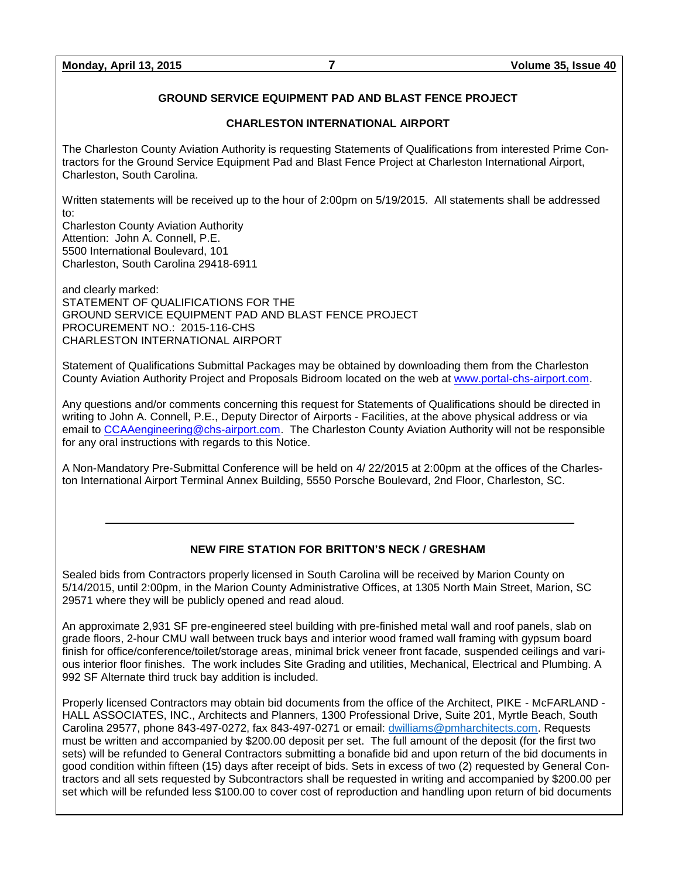# **GROUND SERVICE EQUIPMENT PAD AND BLAST FENCE PROJECT**

#### **CHARLESTON INTERNATIONAL AIRPORT**

The Charleston County Aviation Authority is requesting Statements of Qualifications from interested Prime Contractors for the Ground Service Equipment Pad and Blast Fence Project at Charleston International Airport, Charleston, South Carolina.

Written statements will be received up to the hour of 2:00pm on 5/19/2015. All statements shall be addressed to:

Charleston County Aviation Authority Attention: John A. Connell, P.E. 5500 International Boulevard, 101 Charleston, South Carolina 29418-6911

and clearly marked: STATEMENT OF QUALIFICATIONS FOR THE GROUND SERVICE EQUIPMENT PAD AND BLAST FENCE PROJECT PROCUREMENT NO.: 2015-116-CHS CHARLESTON INTERNATIONAL AIRPORT

Statement of Qualifications Submittal Packages may be obtained by downloading them from the Charleston County Aviation Authority Project and Proposals Bidroom located on the web at [www.portal-chs-airport.com.](http://www.portal-chs-airport.com/)

Any questions and/or comments concerning this request for Statements of Qualifications should be directed in writing to John A. Connell, P.E., Deputy Director of Airports - Facilities, at the above physical address or via email to [CCAAengineering@chs-airport.com.](mailto:CCAAengineering@chs-airport.com) The Charleston County Aviation Authority will not be responsible for any oral instructions with regards to this Notice.

A Non-Mandatory Pre-Submittal Conference will be held on 4/ 22/2015 at 2:00pm at the offices of the Charleston International Airport Terminal Annex Building, 5550 Porsche Boulevard, 2nd Floor, Charleston, SC.

# **NEW FIRE STATION FOR BRITTON'S NECK / GRESHAM**

Sealed bids from Contractors properly licensed in South Carolina will be received by Marion County on 5/14/2015, until 2:00pm, in the Marion County Administrative Offices, at 1305 North Main Street, Marion, SC 29571 where they will be publicly opened and read aloud.

An approximate 2,931 SF pre-engineered steel building with pre-finished metal wall and roof panels, slab on grade floors, 2-hour CMU wall between truck bays and interior wood framed wall framing with gypsum board finish for office/conference/toilet/storage areas, minimal brick veneer front facade, suspended ceilings and various interior floor finishes. The work includes Site Grading and utilities, Mechanical, Electrical and Plumbing. A 992 SF Alternate third truck bay addition is included.

Properly licensed Contractors may obtain bid documents from the office of the Architect, PIKE - McFARLAND - HALL ASSOCIATES, INC., Architects and Planners, 1300 Professional Drive, Suite 201, Myrtle Beach, South Carolina 29577, phone 843-497-0272, fax 843-497-0271 or email: [dwilliams@pmharchitects.com.](mailto:dwilliams@pmharchitects.com) Requests must be written and accompanied by \$200.00 deposit per set. The full amount of the deposit (for the first two sets) will be refunded to General Contractors submitting a bonafide bid and upon return of the bid documents in good condition within fifteen (15) days after receipt of bids. Sets in excess of two (2) requested by General Contractors and all sets requested by Subcontractors shall be requested in writing and accompanied by \$200.00 per set which will be refunded less \$100.00 to cover cost of reproduction and handling upon return of bid documents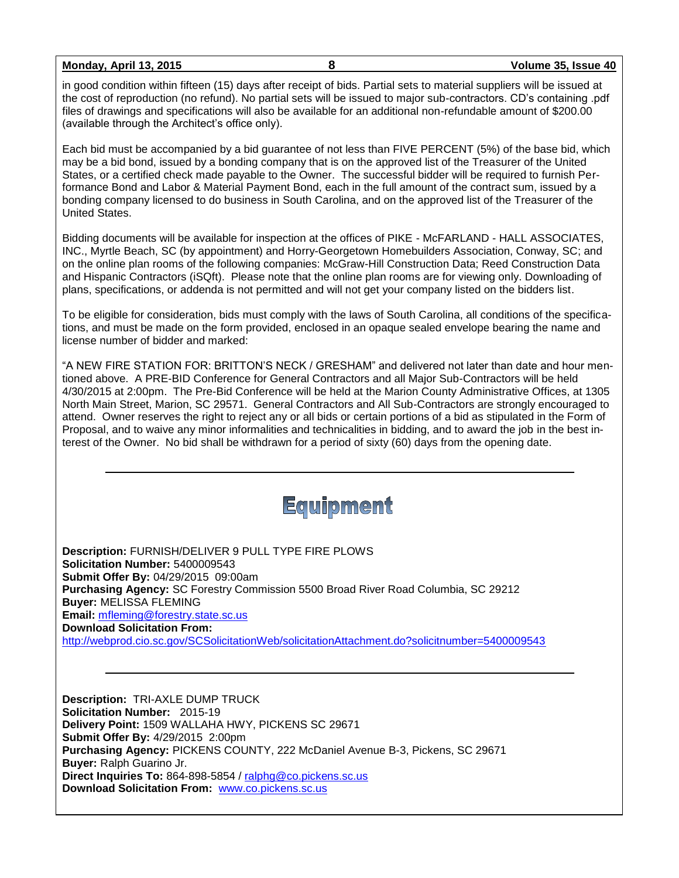**Monday, April 13, 2015 8 Volume 35, Issue 40**

in good condition within fifteen (15) days after receipt of bids. Partial sets to material suppliers will be issued at the cost of reproduction (no refund). No partial sets will be issued to major sub-contractors. CD's containing .pdf files of drawings and specifications will also be available for an additional non-refundable amount of \$200.00 (available through the Architect's office only).

Each bid must be accompanied by a bid guarantee of not less than FIVE PERCENT (5%) of the base bid, which may be a bid bond, issued by a bonding company that is on the approved list of the Treasurer of the United States, or a certified check made payable to the Owner. The successful bidder will be required to furnish Performance Bond and Labor & Material Payment Bond, each in the full amount of the contract sum, issued by a bonding company licensed to do business in South Carolina, and on the approved list of the Treasurer of the United States.

Bidding documents will be available for inspection at the offices of PIKE - McFARLAND - HALL ASSOCIATES, INC., Myrtle Beach, SC (by appointment) and Horry-Georgetown Homebuilders Association, Conway, SC; and on the online plan rooms of the following companies: McGraw-Hill Construction Data; Reed Construction Data and Hispanic Contractors (iSQft). Please note that the online plan rooms are for viewing only. Downloading of plans, specifications, or addenda is not permitted and will not get your company listed on the bidders list.

To be eligible for consideration, bids must comply with the laws of South Carolina, all conditions of the specifications, and must be made on the form provided, enclosed in an opaque sealed envelope bearing the name and license number of bidder and marked:

"A NEW FIRE STATION FOR: BRITTON'S NECK / GRESHAM" and delivered not later than date and hour mentioned above. A PRE-BID Conference for General Contractors and all Major Sub-Contractors will be held 4/30/2015 at 2:00pm. The Pre-Bid Conference will be held at the Marion County Administrative Offices, at 1305 North Main Street, Marion, SC 29571. General Contractors and All Sub-Contractors are strongly encouraged to attend. Owner reserves the right to reject any or all bids or certain portions of a bid as stipulated in the Form of Proposal, and to waive any minor informalities and technicalities in bidding, and to award the job in the best interest of the Owner. No bid shall be withdrawn for a period of sixty (60) days from the opening date.



**Description:** FURNISH/DELIVER 9 PULL TYPE FIRE PLOWS **Solicitation Number:** 5400009543 **Submit Offer By:** 04/29/2015 09:00am **Purchasing Agency:** SC Forestry Commission 5500 Broad River Road Columbia, SC 29212 **Buyer:** MELISSA FLEMING **Email:** [mfleming@forestry.state.sc.us](mailto:mfleming@forestry.state.sc.us) **Download Solicitation From:**  <http://webprod.cio.sc.gov/SCSolicitationWeb/solicitationAttachment.do?solicitnumber=5400009543>

**Description:** TRI-AXLE DUMP TRUCK **Solicitation Number:** 2015-19 **Delivery Point:** 1509 WALLAHA HWY, PICKENS SC 29671 **Submit Offer By:** 4/29/2015 2:00pm **Purchasing Agency:** PICKENS COUNTY, 222 McDaniel Avenue B-3, Pickens, SC 29671 **Buyer:** Ralph Guarino Jr. **Direct Inquiries To:** 864-898-5854 / [ralphg@co.pickens.sc.us](mailto:ralphg@co.pickens.sc.us) **Download Solicitation From:** [www.co.pickens.sc.us](http://www.co.pickens.sc.us/)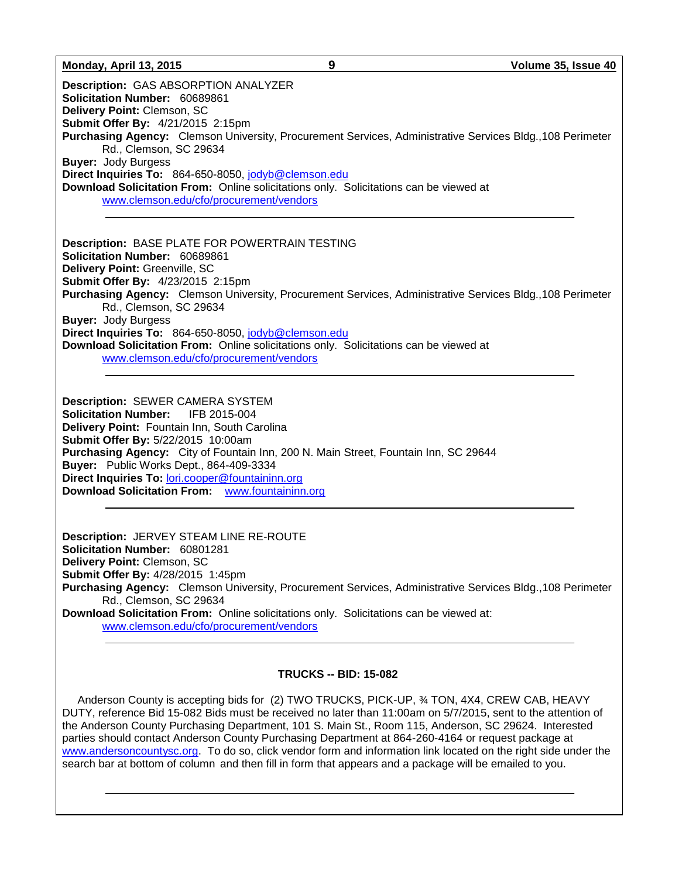#### **Monday, April 13, 2015 9 Volume 35, Issue 40**

**Description:** GAS ABSORPTION ANALYZER **Solicitation Number:** 60689861 **Delivery Point:** Clemson, SC **Submit Offer By:** 4/21/2015 2:15pm **Purchasing Agency:** Clemson University, Procurement Services, Administrative Services Bldg.,108 Perimeter Rd., Clemson, SC 29634 **Buyer:** Jody Burgess **Direct Inquiries To:** 864-650-8050, [jodyb@clemson.edu](mailto:jodyb@clemson.edu) **Download Solicitation From:** Online solicitations only. Solicitations can be viewed at [www.clemson.edu/cfo/procurement/vendors](http://www.clemson.edu/cfo/procurement/vendors)

**Description:** BASE PLATE FOR POWERTRAIN TESTING **Solicitation Number:** 60689861 **Delivery Point:** Greenville, SC **Submit Offer By:** 4/23/2015 2:15pm **Purchasing Agency:** Clemson University, Procurement Services, Administrative Services Bldg.,108 Perimeter Rd., Clemson, SC 29634 **Buyer:** Jody Burgess **Direct Inquiries To:** 864-650-8050, [jodyb@clemson.edu](mailto:jodyb@clemson.edu) **Download Solicitation From:** Online solicitations only. Solicitations can be viewed at [www.clemson.edu/cfo/procurement/vendors](http://www.clemson.edu/cfo/procurement/vendors)

**Description:** SEWER CAMERA SYSTEM **Solicitation Number:** IFB 2015-004 **Delivery Point:** Fountain Inn, South Carolina **Submit Offer By:** 5/22/2015 10:00am **Purchasing Agency:** City of Fountain Inn, 200 N. Main Street, Fountain Inn, SC 29644 **Buyer:** Public Works Dept., 864-409-3334 **Direct Inquiries To:** [lori.cooper@fountaininn.org](mailto:lori.cooper@fountaininn.org) **Download Solicitation From:** [www.fountaininn.org](http://www.fountaininn.org/)

**Description:** JERVEY STEAM LINE RE-ROUTE **Solicitation Number:** 60801281 **Delivery Point:** Clemson, SC **Submit Offer By:** 4/28/2015 1:45pm **Purchasing Agency:** Clemson University, Procurement Services, Administrative Services Bldg.,108 Perimeter Rd., Clemson, SC 29634 **Download Solicitation From:** Online solicitations only. Solicitations can be viewed at:

[www.clemson.edu/cfo/procurement/vendors](http://www.clemson.edu/cfo/procurement/vendors)

#### **TRUCKS -- BID: 15-082**

 Anderson County is accepting bids for (2) TWO TRUCKS, PICK-UP, ¾ TON, 4X4, CREW CAB, HEAVY DUTY, reference Bid 15-082 Bids must be received no later than 11:00am on 5/7/2015, sent to the attention of the Anderson County Purchasing Department, 101 S. Main St., Room 115, Anderson, SC 29624. Interested parties should contact Anderson County Purchasing Department at 864-260-4164 or request package at [www.andersoncountysc.org.](http://www.andersoncountysc.org/) To do so, click vendor form and information link located on the right side under the search bar at bottom of column and then fill in form that appears and a package will be emailed to you.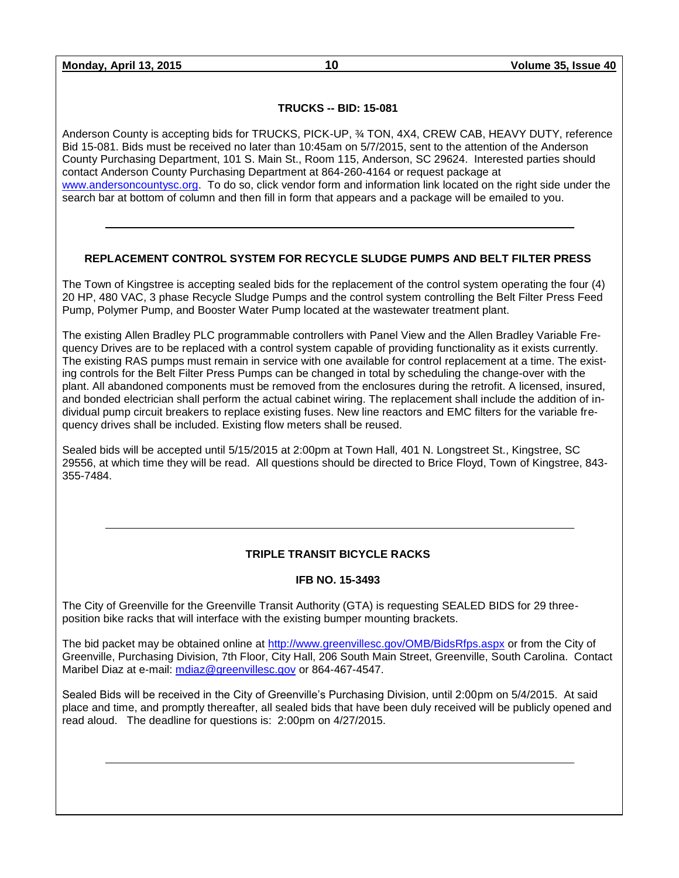**Monday, April 13, 2015 10 Volume 35, Issue 40**

#### **TRUCKS -- BID: 15-081**

Anderson County is accepting bids for TRUCKS, PICK-UP, ¾ TON, 4X4, CREW CAB, HEAVY DUTY, reference Bid 15-081. Bids must be received no later than 10:45am on 5/7/2015, sent to the attention of the Anderson County Purchasing Department, 101 S. Main St., Room 115, Anderson, SC 29624. Interested parties should contact Anderson County Purchasing Department at 864-260-4164 or request package at [www.andersoncountysc.org.](http://www.andersoncountysc.org/) To do so, click vendor form and information link located on the right side under the search bar at bottom of column and then fill in form that appears and a package will be emailed to you.

# **REPLACEMENT CONTROL SYSTEM FOR RECYCLE SLUDGE PUMPS AND BELT FILTER PRESS**

The Town of Kingstree is accepting sealed bids for the replacement of the control system operating the four (4) 20 HP, 480 VAC, 3 phase Recycle Sludge Pumps and the control system controlling the Belt Filter Press Feed Pump, Polymer Pump, and Booster Water Pump located at the wastewater treatment plant.

The existing Allen Bradley PLC programmable controllers with Panel View and the Allen Bradley Variable Frequency Drives are to be replaced with a control system capable of providing functionality as it exists currently. The existing RAS pumps must remain in service with one available for control replacement at a time. The existing controls for the Belt Filter Press Pumps can be changed in total by scheduling the change-over with the plant. All abandoned components must be removed from the enclosures during the retrofit. A licensed, insured, and bonded electrician shall perform the actual cabinet wiring. The replacement shall include the addition of individual pump circuit breakers to replace existing fuses. New line reactors and EMC filters for the variable frequency drives shall be included. Existing flow meters shall be reused.

Sealed bids will be accepted until 5/15/2015 at 2:00pm at Town Hall, 401 N. Longstreet St., Kingstree, SC 29556, at which time they will be read. All questions should be directed to Brice Floyd, Town of Kingstree, 843- 355-7484.

# **TRIPLE TRANSIT BICYCLE RACKS**

#### **IFB NO. 15-3493**

The City of Greenville for the Greenville Transit Authority (GTA) is requesting SEALED BIDS for 29 threeposition bike racks that will interface with the existing bumper mounting brackets.

The bid packet may be obtained online at<http://www.greenvillesc.gov/OMB/BidsRfps.aspx> or from the City of Greenville, Purchasing Division, 7th Floor, City Hall, 206 South Main Street, Greenville, South Carolina. Contact Maribel Diaz at e-mail: [mdiaz@greenvillesc.gov](mailto:mdiaz@greenvillesc.gov) or 864-467-4547.

Sealed Bids will be received in the City of Greenville's Purchasing Division, until 2:00pm on 5/4/2015. At said place and time, and promptly thereafter, all sealed bids that have been duly received will be publicly opened and read aloud. The deadline for questions is: 2:00pm on 4/27/2015.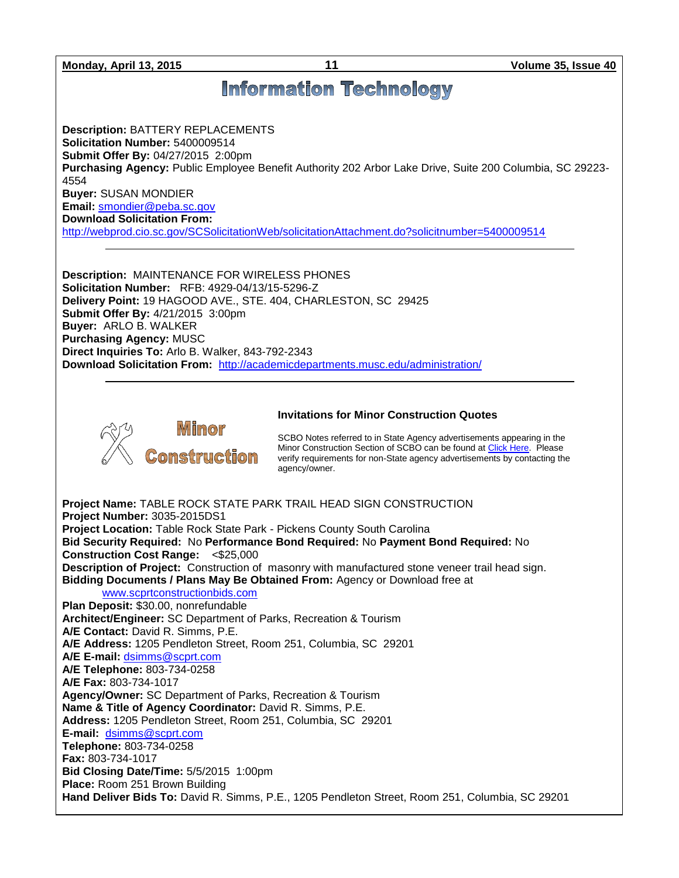**Monday, April 13, 2015 11 Volume 35, Issue 40**

# **Information Technology**

**Description:** BATTERY REPLACEMENTS **Solicitation Number:** 5400009514 **Submit Offer By:** 04/27/2015 2:00pm Purchasing Agency: Public Employee Benefit Authority 202 Arbor Lake Drive, Suite 200 Columbia, SC 29223-4554 **Buyer:** SUSAN MONDIER **Email:** [smondier@peba.sc.gov](mailto:smondier@peba.sc.gov)

**Download Solicitation From:** 

<http://webprod.cio.sc.gov/SCSolicitationWeb/solicitationAttachment.do?solicitnumber=5400009514>

**Description:** MAINTENANCE FOR WIRELESS PHONES **Solicitation Number:** RFB: 4929-04/13/15-5296-Z **Delivery Point:** 19 HAGOOD AVE., STE. 404, CHARLESTON, SC 29425 **Submit Offer By:** 4/21/2015 3:00pm **Buyer:** ARLO B. WALKER **Purchasing Agency:** MUSC **Direct Inquiries To:** Arlo B. Walker, 843-792-2343 **Download Solicitation From:** <http://academicdepartments.musc.edu/administration/>



# **Invitations for Minor Construction Quotes**

SCBO Notes referred to in State Agency advertisements appearing in the Minor Construction Section of SCBO can be found at [Click Here.](http://www.mmo.sc.gov/PS/general/scbo/SCBO_Notes_060512.pdf) Please verify requirements for non-State agency advertisements by contacting the agency/owner.

**Project Name:** TABLE ROCK STATE PARK TRAIL HEAD SIGN CONSTRUCTION **Project Number:** 3035-2015DS1 **Project Location:** Table Rock State Park - Pickens County South Carolina **Bid Security Required:** No **Performance Bond Required:** No **Payment Bond Required:** No **Construction Cost Range:** <\$25,000 **Description of Project:** Construction of masonry with manufactured stone veneer trail head sign. **Bidding Documents / Plans May Be Obtained From:** Agency or Download free at [www.scprtconstructionbids.com](http://www.scprtconstructionbids.com/) **Plan Deposit:** \$30.00, nonrefundable **Architect/Engineer:** SC Department of Parks, Recreation & Tourism **A/E Contact:** David R. Simms, P.E. **A/E Address:** 1205 Pendleton Street, Room 251, Columbia, SC 29201 **A/E E-mail:** [dsimms@scprt.com](mailto:dsimms@scprt.com) **A/E Telephone:** 803-734-0258 **A/E Fax:** 803-734-1017 **Agency/Owner:** SC Department of Parks, Recreation & Tourism **Name & Title of Agency Coordinator:** David R. Simms, P.E. **Address:** 1205 Pendleton Street, Room 251, Columbia, SC 29201 **E-mail:** [dsimms@scprt.com](mailto:dsimms@scprt.com) **Telephone:** 803-734-0258 **Fax:** 803-734-1017 **Bid Closing Date/Time:** 5/5/2015 1:00pm **Place:** Room 251 Brown Building **Hand Deliver Bids To:** David R. Simms, P.E., 1205 Pendleton Street, Room 251, Columbia, SC 29201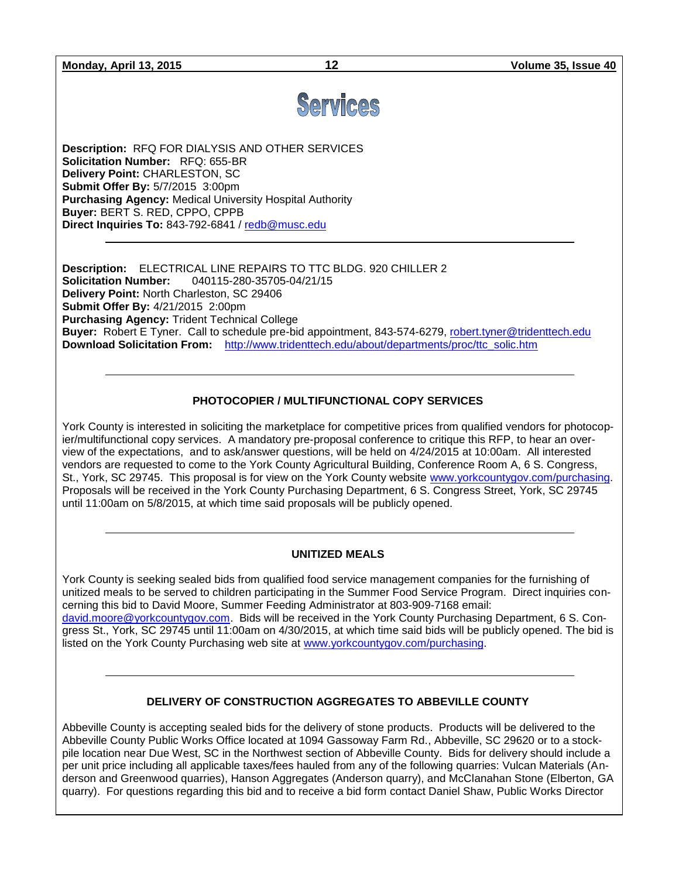**Monday, April 13, 2015 12 Volume 35, Issue 40**



**Description:** RFQ FOR DIALYSIS AND OTHER SERVICES **Solicitation Number:** RFQ: 655-BR **Delivery Point:** CHARLESTON, SC **Submit Offer By:** 5/7/2015 3:00pm **Purchasing Agency:** Medical University Hospital Authority **Buyer:** BERT S. RED, CPPO, CPPB **Direct Inquiries To:** 843-792-6841 / [redb@musc.edu](mailto:redb@musc.edu)

**Description:** ELECTRICAL LINE REPAIRS TO TTC BLDG. 920 CHILLER 2 **Solicitation Number:** 040115-280-35705-04/21/15 **Delivery Point:** North Charleston, SC 29406 **Submit Offer By:** 4/21/2015 2:00pm **Purchasing Agency:** Trident Technical College **Buyer:** Robert E Tyner. Call to schedule pre-bid appointment, 843-574-6279, [robert.tyner@tridenttech.edu](mailto:robert.tyner@tridenttech.edu) **Download Solicitation From:** [http://www.tridenttech.edu/about/departments/proc/ttc\\_solic.htm](http://www.tridenttech.edu/about/departments/proc/ttc_solic.htm)

# **PHOTOCOPIER / MULTIFUNCTIONAL COPY SERVICES**

York County is interested in soliciting the marketplace for competitive prices from qualified vendors for photocopier/multifunctional copy services. A mandatory pre-proposal conference to critique this RFP, to hear an overview of the expectations, and to ask/answer questions, will be held on 4/24/2015 at 10:00am. All interested vendors are requested to come to the York County Agricultural Building, Conference Room A, 6 S. Congress, St., York, SC 29745. This proposal is for view on the York County website [www.yorkcountygov.com/purchasing.](http://www.yorkcountygov.com/purchasing) Proposals will be received in the York County Purchasing Department, 6 S. Congress Street, York, SC 29745 until 11:00am on 5/8/2015, at which time said proposals will be publicly opened.

#### **UNITIZED MEALS**

York County is seeking sealed bids from qualified food service management companies for the furnishing of unitized meals to be served to children participating in the Summer Food Service Program. Direct inquiries concerning this bid to David Moore, Summer Feeding Administrator at 803-909-7168 email: [david.moore@yorkcountygov.com.](mailto:david.moore@yorkcountygov.com) Bids will be received in the York County Purchasing Department, 6 S. Congress St., York, SC 29745 until 11:00am on 4/30/2015, at which time said bids will be publicly opened. The bid is listed on the York County Purchasing web site at [www.yorkcountygov.com/purchasing.](http://www.yorkcountygov.com/purchasing)

#### **DELIVERY OF CONSTRUCTION AGGREGATES TO ABBEVILLE COUNTY**

Abbeville County is accepting sealed bids for the delivery of stone products. Products will be delivered to the Abbeville County Public Works Office located at 1094 Gassoway Farm Rd., Abbeville, SC 29620 or to a stockpile location near Due West, SC in the Northwest section of Abbeville County. Bids for delivery should include a per unit price including all applicable taxes/fees hauled from any of the following quarries: Vulcan Materials (Anderson and Greenwood quarries), Hanson Aggregates (Anderson quarry), and McClanahan Stone (Elberton, GA quarry). For questions regarding this bid and to receive a bid form contact Daniel Shaw, Public Works Director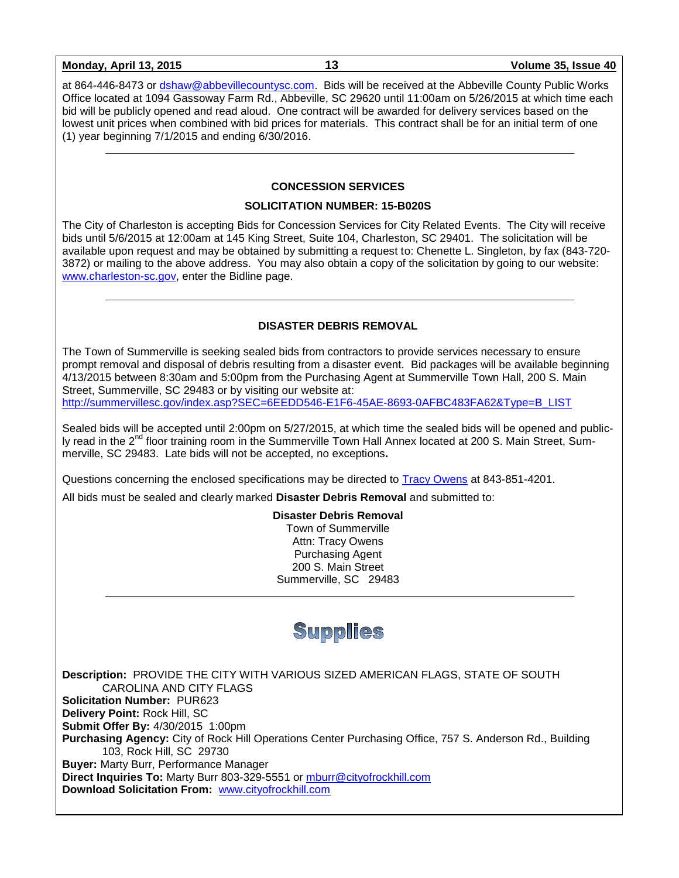| <b>Monday, April 13, 2015</b> |  |  |
|-------------------------------|--|--|
|-------------------------------|--|--|

at 864-446-8473 or [dshaw@abbevillecountysc.com.](mailto:dshaw@abbevillecountysc.com) Bids will be received at the Abbeville County Public Works Office located at 1094 Gassoway Farm Rd., Abbeville, SC 29620 until 11:00am on 5/26/2015 at which time each bid will be publicly opened and read aloud. One contract will be awarded for delivery services based on the lowest unit prices when combined with bid prices for materials. This contract shall be for an initial term of one (1) year beginning 7/1/2015 and ending 6/30/2016.

#### **CONCESSION SERVICES**

#### **SOLICITATION NUMBER: 15-B020S**

The City of Charleston is accepting Bids for Concession Services for City Related Events. The City will receive bids until 5/6/2015 at 12:00am at 145 King Street, Suite 104, Charleston, SC 29401. The solicitation will be available upon request and may be obtained by submitting a request to: Chenette L. Singleton, by fax (843-720- 3872) or mailing to the above address. You may also obtain a copy of the solicitation by going to our website: [www.charleston-sc.gov,](http://www.charleston-sc.gov/) enter the Bidline page.

# **DISASTER DEBRIS REMOVAL**

The Town of Summerville is seeking sealed bids from contractors to provide services necessary to ensure prompt removal and disposal of debris resulting from a disaster event. Bid packages will be available beginning 4/13/2015 between 8:30am and 5:00pm from the Purchasing Agent at Summerville Town Hall, 200 S. Main Street, Summerville, SC 29483 or by visiting our website at: [http://summervillesc.gov/index.asp?SEC=6EEDD546-E1F6-45AE-8693-0AFBC483FA62&Type=B\\_LIST](http://summervillesc.gov/index.asp?SEC=6EEDD546-E1F6-45AE-8693-0AFBC483FA62&Type=B_LIST)

Sealed bids will be accepted until 2:00pm on 5/27/2015, at which time the sealed bids will be opened and publicly read in the  $2<sup>nd</sup>$  floor training room in the Summerville Town Hall Annex located at 200 S. Main Street, Summerville, SC 29483. Late bids will not be accepted, no exceptions**.**

Questions concerning the enclosed specifications may be directed to [Tracy](mailto:DBest@SummervilleSC.gov) Owens at 843-851-4201.

All bids must be sealed and clearly marked **Disaster Debris Removal** and submitted to:

**Disaster Debris Removal** Town of Summerville Attn: Tracy Owens Purchasing Agent 200 S. Main Street Summerville, SC 29483



**Description:** PROVIDE THE CITY WITH VARIOUS SIZED AMERICAN FLAGS, STATE OF SOUTH CAROLINA AND CITY FLAGS **Solicitation Number:** PUR623 **Delivery Point:** Rock Hill, SC **Submit Offer By:** 4/30/2015 1:00pm **Purchasing Agency:** City of Rock Hill Operations Center Purchasing Office, 757 S. Anderson Rd., Building 103, Rock Hill, SC 29730 **Buyer:** Marty Burr, Performance Manager **Direct Inquiries To:** Marty Burr 803-329-5551 or [mburr@cityofrockhill.com](mailto:mburr@cityofrockhill.com) **Download Solicitation From:** [www.cityofrockhill.com](http://www.cityofrockhill.com/)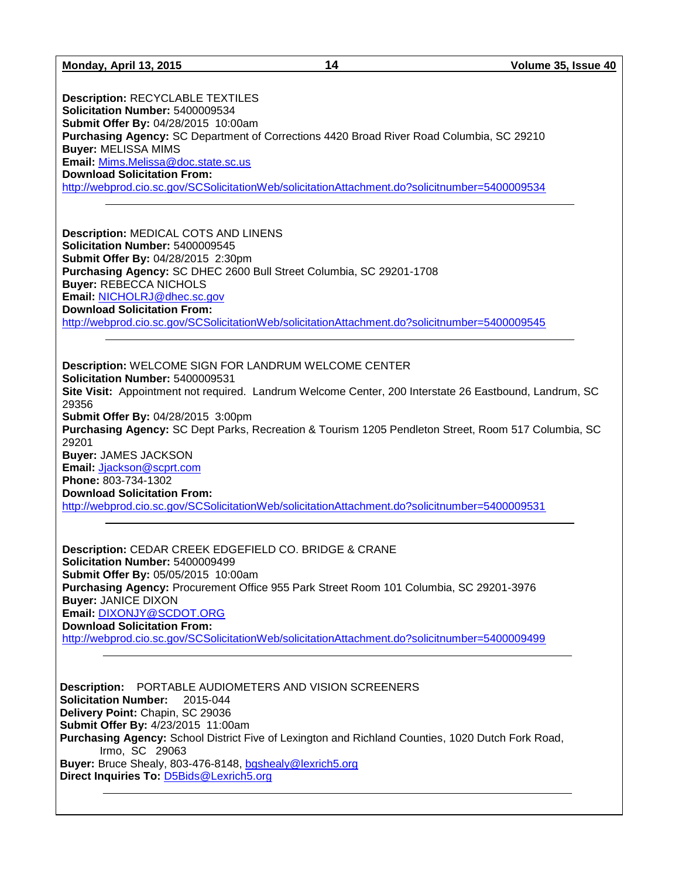**Description:** RECYCLABLE TEXTILES **Solicitation Number:** 5400009534 **Submit Offer By:** 04/28/2015 10:00am **Purchasing Agency:** SC Department of Corrections 4420 Broad River Road Columbia, SC 29210 **Buyer:** MELISSA MIMS **Email:** [Mims.Melissa@doc.state.sc.us](mailto:Mims.Melissa@doc.state.sc.us) **Download Solicitation From:**  <http://webprod.cio.sc.gov/SCSolicitationWeb/solicitationAttachment.do?solicitnumber=5400009534>

**Description:** MEDICAL COTS AND LINENS **Solicitation Number:** 5400009545 **Submit Offer By:** 04/28/2015 2:30pm **Purchasing Agency:** SC DHEC 2600 Bull Street Columbia, SC 29201-1708 **Buyer:** REBECCA NICHOLS **Email:** [NICHOLRJ@dhec.sc.gov](mailto:NICHOLRJ@dhec.sc.gov) **Download Solicitation From:**  <http://webprod.cio.sc.gov/SCSolicitationWeb/solicitationAttachment.do?solicitnumber=5400009545>

**Description:** WELCOME SIGN FOR LANDRUM WELCOME CENTER **Solicitation Number:** 5400009531 **Site Visit:** Appointment not required. Landrum Welcome Center, 200 Interstate 26 Eastbound, Landrum, SC 29356 **Submit Offer By:** 04/28/2015 3:00pm **Purchasing Agency:** SC Dept Parks, Recreation & Tourism 1205 Pendleton Street, Room 517 Columbia, SC 29201 **Buyer:** JAMES JACKSON **Email:** [Jjackson@scprt.com](mailto:Jjackson@scprt.com) **Phone:** 803-734-1302 **Download Solicitation From:**  <http://webprod.cio.sc.gov/SCSolicitationWeb/solicitationAttachment.do?solicitnumber=5400009531>

**Description:** CEDAR CREEK EDGEFIELD CO. BRIDGE & CRANE **Solicitation Number:** 5400009499 **Submit Offer By:** 05/05/2015 10:00am **Purchasing Agency:** Procurement Office 955 Park Street Room 101 Columbia, SC 29201-3976 **Buyer:** JANICE DIXON **Email:** [DIXONJY@SCDOT.ORG](mailto:DIXONJY@SCDOT.ORG) **Download Solicitation From:**  <http://webprod.cio.sc.gov/SCSolicitationWeb/solicitationAttachment.do?solicitnumber=5400009499>

**Description:** PORTABLE AUDIOMETERS AND VISION SCREENERS **Solicitation Number:** 2015-044 **Delivery Point:** Chapin, SC 29036 **Submit Offer By:** 4/23/2015 11:00am **Purchasing Agency:** School District Five of Lexington and Richland Counties, 1020 Dutch Fork Road, Irmo, SC 29063 **Buyer:** Bruce Shealy, 803-476-8148, [bgshealy@lexrich5.org](mailto:bgshealy@lexrich5.org) **Direct Inquiries To:** [D5Bids@Lexrich5.org](mailto:D5Bids@Lexrich5.org)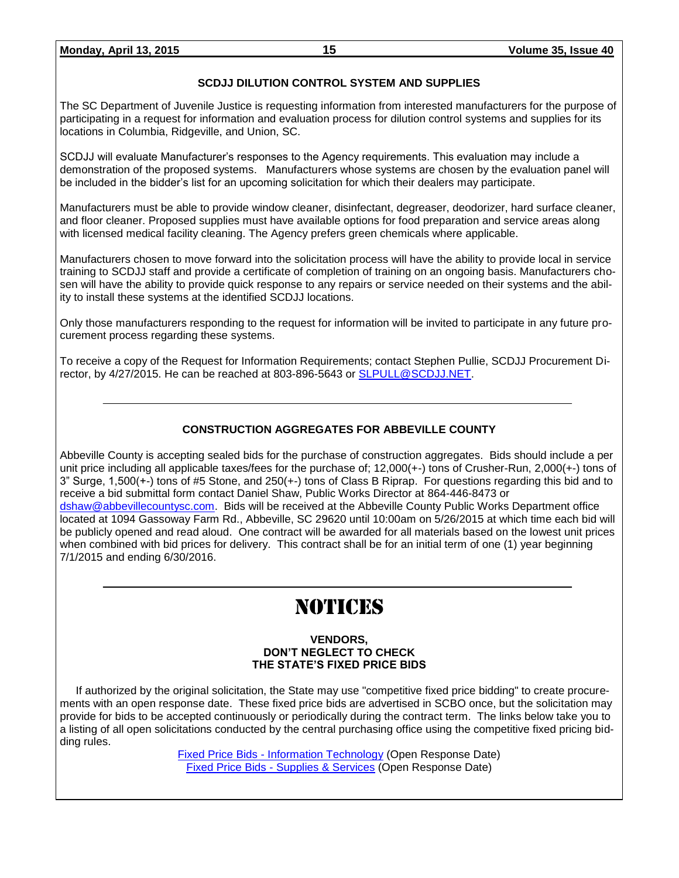#### **SCDJJ DILUTION CONTROL SYSTEM AND SUPPLIES**

The SC Department of Juvenile Justice is requesting information from interested manufacturers for the purpose of participating in a request for information and evaluation process for dilution control systems and supplies for its locations in Columbia, Ridgeville, and Union, SC.

SCDJJ will evaluate Manufacturer's responses to the Agency requirements. This evaluation may include a demonstration of the proposed systems. Manufacturers whose systems are chosen by the evaluation panel will be included in the bidder's list for an upcoming solicitation for which their dealers may participate.

Manufacturers must be able to provide window cleaner, disinfectant, degreaser, deodorizer, hard surface cleaner, and floor cleaner. Proposed supplies must have available options for food preparation and service areas along with licensed medical facility cleaning. The Agency prefers green chemicals where applicable.

Manufacturers chosen to move forward into the solicitation process will have the ability to provide local in service training to SCDJJ staff and provide a certificate of completion of training on an ongoing basis. Manufacturers chosen will have the ability to provide quick response to any repairs or service needed on their systems and the ability to install these systems at the identified SCDJJ locations.

Only those manufacturers responding to the request for information will be invited to participate in any future procurement process regarding these systems.

To receive a copy of the Request for Information Requirements; contact Stephen Pullie, SCDJJ Procurement Director, by 4/27/2015. He can be reached at 803-896-5643 or [SLPULL@SCDJJ.NET.](mailto:SLPULL@SCDJJ.NET)

# **CONSTRUCTION AGGREGATES FOR ABBEVILLE COUNTY**

Abbeville County is accepting sealed bids for the purchase of construction aggregates. Bids should include a per unit price including all applicable taxes/fees for the purchase of; 12,000(+-) tons of Crusher-Run, 2,000(+-) tons of 3" Surge, 1,500(+-) tons of #5 Stone, and 250(+-) tons of Class B Riprap. For questions regarding this bid and to receive a bid submittal form contact Daniel Shaw, Public Works Director at 864-446-8473 or [dshaw@abbevillecountysc.com.](mailto:dshaw@abbevillecountysc.com) Bids will be received at the Abbeville County Public Works Department office located at 1094 Gassoway Farm Rd., Abbeville, SC 29620 until 10:00am on 5/26/2015 at which time each bid will be publicly opened and read aloud. One contract will be awarded for all materials based on the lowest unit prices when combined with bid prices for delivery. This contract shall be for an initial term of one (1) year beginning 7/1/2015 and ending 6/30/2016.

# NOTICES

#### **VENDORS, DON'T NEGLECT TO CHECK THE STATE'S FIXED PRICE BIDS**

If authorized by the original solicitation, the State may use "competitive fixed price bidding" to create procurements with an open response date. These fixed price bids are advertised in SCBO once, but the solicitation may provide for bids to be accepted continuously or periodically during the contract term. The links below take you to a listing of all open solicitations conducted by the central purchasing office using the competitive fixed pricing bidding rules.

> Fixed Price Bids - [Information Technology](http://www.mmo.sc.gov/PS/vendor/PS-vendor-fixed-price-bids-it.phtm) (Open Response Date) [Fixed Price Bids -](http://www.mmo.sc.gov/PS/vendor/PS-vendor-fixed-price-bids-ss.phtm) Supplies & Services (Open Response Date)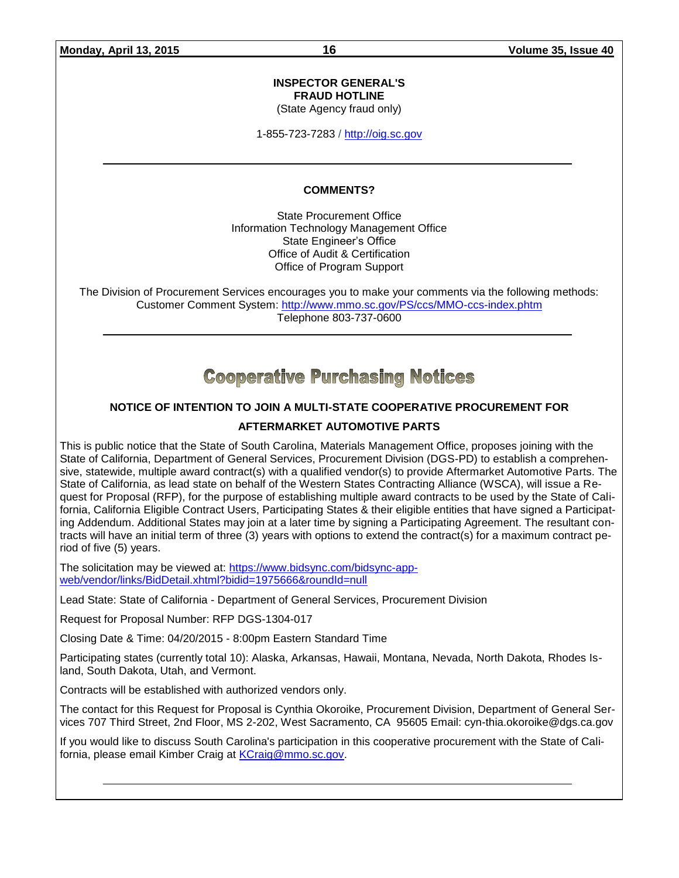#### **INSPECTOR GENERAL'S FRAUD HOTLINE**

(State Agency fraud only)

1-855-723-7283 / [http://oig.sc.gov](http://oig.sc.gov/)

#### **COMMENTS?**

State Procurement Office Information Technology Management Office State Engineer's Office Office of Audit & Certification Office of Program Support

The Division of Procurement Services encourages you to make your comments via the following methods: Customer Comment System:<http://www.mmo.sc.gov/PS/ccs/MMO-ccs-index.phtm> Telephone 803-737-0600

# **Cooperative Purchasing Notices**

# **NOTICE OF INTENTION TO JOIN A MULTI-STATE COOPERATIVE PROCUREMENT FOR**

# **AFTERMARKET AUTOMOTIVE PARTS**

This is public notice that the State of South Carolina, Materials Management Office, proposes joining with the State of California, Department of General Services, Procurement Division (DGS-PD) to establish a comprehensive, statewide, multiple award contract(s) with a qualified vendor(s) to provide Aftermarket Automotive Parts. The State of California, as lead state on behalf of the Western States Contracting Alliance (WSCA), will issue a Request for Proposal (RFP), for the purpose of establishing multiple award contracts to be used by the State of California, California Eligible Contract Users, Participating States & their eligible entities that have signed a Participating Addendum. Additional States may join at a later time by signing a Participating Agreement. The resultant contracts will have an initial term of three (3) years with options to extend the contract(s) for a maximum contract period of five (5) years.

The solicitation may be viewed at: [https://www.bidsync.com/bidsync-app](https://www.bidsync.com/bidsync-app-web/vendor/links/BidDetail.xhtml?bidid=1975666&roundId=null)[web/vendor/links/BidDetail.xhtml?bidid=1975666&roundId=null](https://www.bidsync.com/bidsync-app-web/vendor/links/BidDetail.xhtml?bidid=1975666&roundId=null) 

Lead State: State of California - Department of General Services, Procurement Division

Request for Proposal Number: RFP DGS-1304-017

Closing Date & Time: 04/20/2015 - 8:00pm Eastern Standard Time

Participating states (currently total 10): Alaska, Arkansas, Hawaii, Montana, Nevada, North Dakota, Rhodes Island, South Dakota, Utah, and Vermont.

Contracts will be established with authorized vendors only.

The contact for this Request for Proposal is Cynthia Okoroike, Procurement Division, Department of General Services 707 Third Street, 2nd Floor, MS 2-202, West Sacramento, CA 95605 Email: cyn-thia.okoroike@dgs.ca.gov

If you would like to discuss South Carolina's participation in this cooperative procurement with the State of California, please email Kimber Craig at [KCraig@mmo.sc.gov.](mailto:KCraig@mmo.sc.gov)